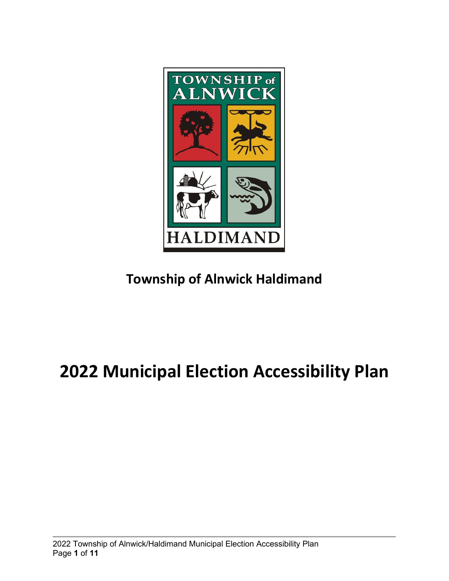

**Township of Alnwick Haldimand** 

# **2022 Municipal Election Accessibility Plan**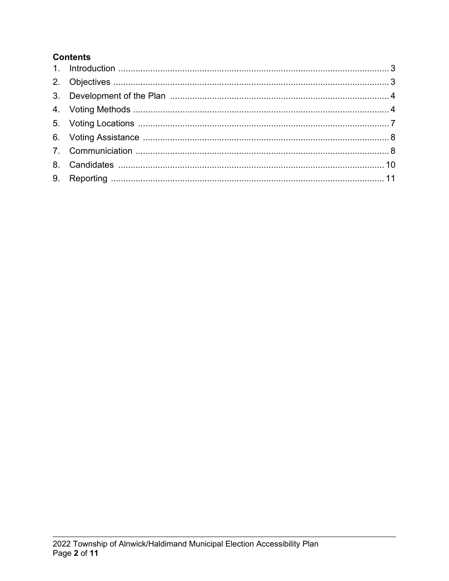#### **Contents**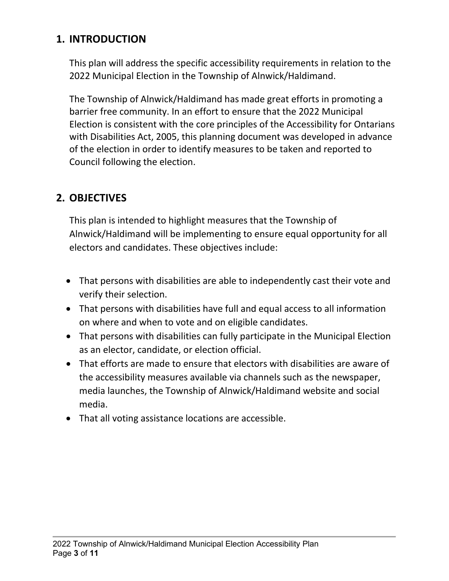## <span id="page-2-0"></span>**1. INTRODUCTION**

This plan will address the specific accessibility requirements in relation to the 2022 Municipal Election in the Township of Alnwick/Haldimand.

The Township of Alnwick/Haldimand has made great efforts in promoting a barrier free community. In an effort to ensure that the 2022 Municipal Election is consistent with the core principles of the Accessibility for Ontarians with Disabilities Act, 2005, this planning document was developed in advance of the election in order to identify measures to be taken and reported to Council following the election.

## <span id="page-2-1"></span>**2. OBJECTIVES**

This plan is intended to highlight measures that the Township of Alnwick/Haldimand will be implementing to ensure equal opportunity for all electors and candidates. These objectives include:

- That persons with disabilities are able to independently cast their vote and verify their selection.
- That persons with disabilities have full and equal access to all information on where and when to vote and on eligible candidates.
- That persons with disabilities can fully participate in the Municipal Election as an elector, candidate, or election official.
- That efforts are made to ensure that electors with disabilities are aware of the accessibility measures available via channels such as the newspaper, media launches, the Township of Alnwick/Haldimand website and social media.
- That all voting assistance locations are accessible.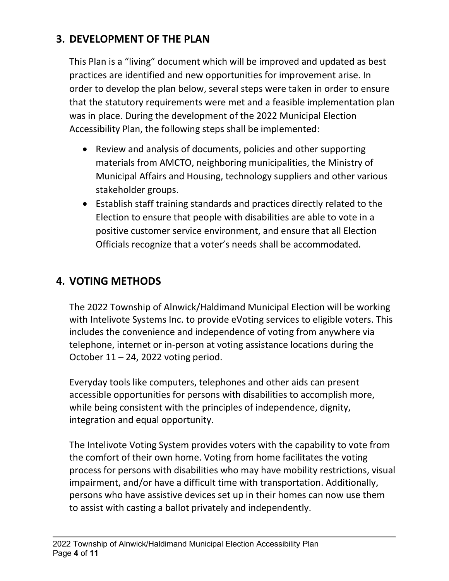## <span id="page-3-0"></span>**3. DEVELOPMENT OF THE PLAN**

This Plan is a "living" document which will be improved and updated as best practices are identified and new opportunities for improvement arise. In order to develop the plan below, several steps were taken in order to ensure that the statutory requirements were met and a feasible implementation plan was in place. During the development of the 2022 Municipal Election Accessibility Plan, the following steps shall be implemented:

- Review and analysis of documents, policies and other supporting materials from AMCTO, neighboring municipalities, the Ministry of Municipal Affairs and Housing, technology suppliers and other various stakeholder groups.
- Establish staff training standards and practices directly related to the Election to ensure that people with disabilities are able to vote in a positive customer service environment, and ensure that all Election Officials recognize that a voter's needs shall be accommodated.

## <span id="page-3-1"></span>**4. VOTING METHODS**

The 2022 Township of Alnwick/Haldimand Municipal Election will be working with Intelivote Systems Inc. to provide eVoting services to eligible voters. This includes the convenience and independence of voting from anywhere via telephone, internet or in-person at voting assistance locations during the October  $11 - 24$ , 2022 voting period.

Everyday tools like computers, telephones and other aids can present accessible opportunities for persons with disabilities to accomplish more, while being consistent with the principles of independence, dignity, integration and equal opportunity.

The Intelivote Voting System provides voters with the capability to vote from the comfort of their own home. Voting from home facilitates the voting process for persons with disabilities who may have mobility restrictions, visual impairment, and/or have a difficult time with transportation. Additionally, persons who have assistive devices set up in their homes can now use them to assist with casting a ballot privately and independently.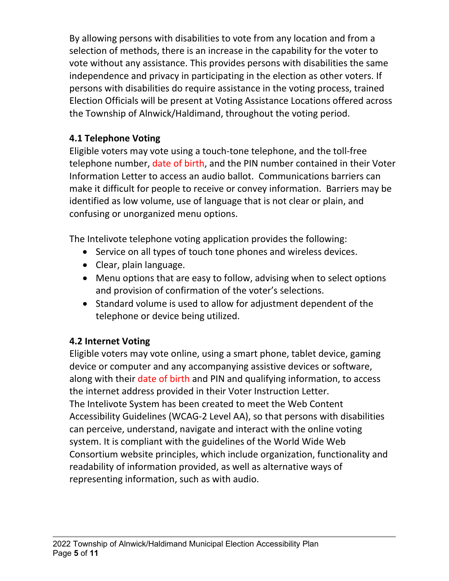By allowing persons with disabilities to vote from any location and from a selection of methods, there is an increase in the capability for the voter to vote without any assistance. This provides persons with disabilities the same independence and privacy in participating in the election as other voters. If persons with disabilities do require assistance in the voting process, trained Election Officials will be present at Voting Assistance Locations offered across the Township of Alnwick/Haldimand, throughout the voting period.

#### **4.1 Telephone Voting**

Eligible voters may vote using a touch-tone telephone, and the toll-free telephone number, date of birth, and the PIN number contained in their Voter Information Letter to access an audio ballot. Communications barriers can make it difficult for people to receive or convey information. Barriers may be identified as low volume, use of language that is not clear or plain, and confusing or unorganized menu options.

The Intelivote telephone voting application provides the following:

- Service on all types of touch tone phones and wireless devices.
- Clear, plain language.
- Menu options that are easy to follow, advising when to select options and provision of confirmation of the voter's selections.
- Standard volume is used to allow for adjustment dependent of the telephone or device being utilized.

## **4.2 Internet Voting**

Eligible voters may vote online, using a smart phone, tablet device, gaming device or computer and any accompanying assistive devices or software, along with their date of birth and PIN and qualifying information, to access the internet address provided in their Voter Instruction Letter. The Intelivote System has been created to meet the Web Content Accessibility Guidelines (WCAG-2 Level AA), so that persons with disabilities can perceive, understand, navigate and interact with the online voting system. It is compliant with the guidelines of the World Wide Web Consortium website principles, which include organization, functionality and readability of information provided, as well as alternative ways of representing information, such as with audio.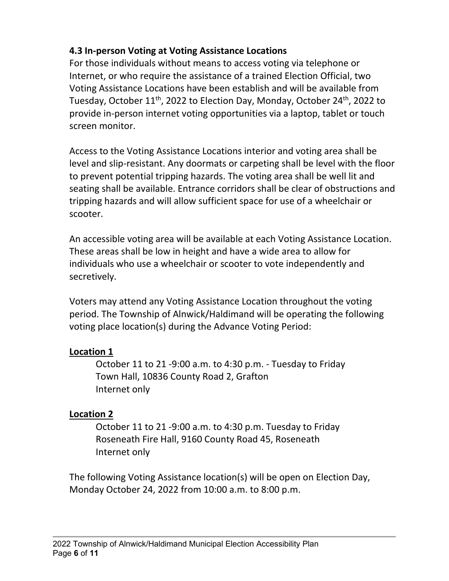#### **4.3 In-person Voting at Voting Assistance Locations**

For those individuals without means to access voting via telephone or Internet, or who require the assistance of a trained Election Official, two Voting Assistance Locations have been establish and will be available from Tuesday, October  $11<sup>th</sup>$ , 2022 to Election Day, Monday, October 24<sup>th</sup>, 2022 to provide in-person internet voting opportunities via a laptop, tablet or touch screen monitor.

Access to the Voting Assistance Locations interior and voting area shall be level and slip-resistant. Any doormats or carpeting shall be level with the floor to prevent potential tripping hazards. The voting area shall be well lit and seating shall be available. Entrance corridors shall be clear of obstructions and tripping hazards and will allow sufficient space for use of a wheelchair or scooter.

An accessible voting area will be available at each Voting Assistance Location. These areas shall be low in height and have a wide area to allow for individuals who use a wheelchair or scooter to vote independently and secretively.

Voters may attend any Voting Assistance Location throughout the voting period. The Township of Alnwick/Haldimand will be operating the following voting place location(s) during the Advance Voting Period:

#### **Location 1**

October 11 to 21 -9:00 a.m. to 4:30 p.m. - Tuesday to Friday Town Hall, 10836 County Road 2, Grafton Internet only

#### **Location 2**

October 11 to 21 -9:00 a.m. to 4:30 p.m. Tuesday to Friday Roseneath Fire Hall, 9160 County Road 45, Roseneath Internet only

The following Voting Assistance location(s) will be open on Election Day, Monday October 24, 2022 from 10:00 a.m. to 8:00 p.m.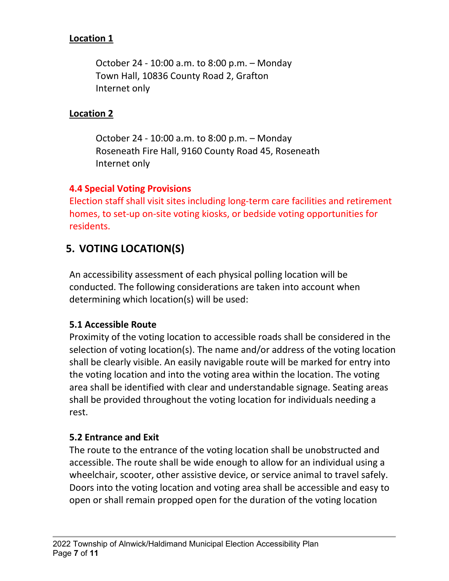#### **Location 1**

October 24 - 10:00 a.m. to 8:00 p.m. – Monday Town Hall, 10836 County Road 2, Grafton Internet only

#### **Location 2**

October 24 - 10:00 a.m. to 8:00 p.m. – Monday Roseneath Fire Hall, 9160 County Road 45, Roseneath Internet only

#### **4.4 Special Voting Provisions**

Election staff shall visit sites including long-term care facilities and retirement homes, to set-up on-site voting kiosks, or bedside voting opportunities for residents.

## <span id="page-6-0"></span>**5. VOTING LOCATION(S)**

An accessibility assessment of each physical polling location will be conducted. The following considerations are taken into account when determining which location(s) will be used:

#### **5.1 Accessible Route**

Proximity of the voting location to accessible roads shall be considered in the selection of voting location(s). The name and/or address of the voting location shall be clearly visible. An easily navigable route will be marked for entry into the voting location and into the voting area within the location. The voting area shall be identified with clear and understandable signage. Seating areas shall be provided throughout the voting location for individuals needing a rest.

#### **5.2 Entrance and Exit**

The route to the entrance of the voting location shall be unobstructed and accessible. The route shall be wide enough to allow for an individual using a wheelchair, scooter, other assistive device, or service animal to travel safely. Doors into the voting location and voting area shall be accessible and easy to open or shall remain propped open for the duration of the voting location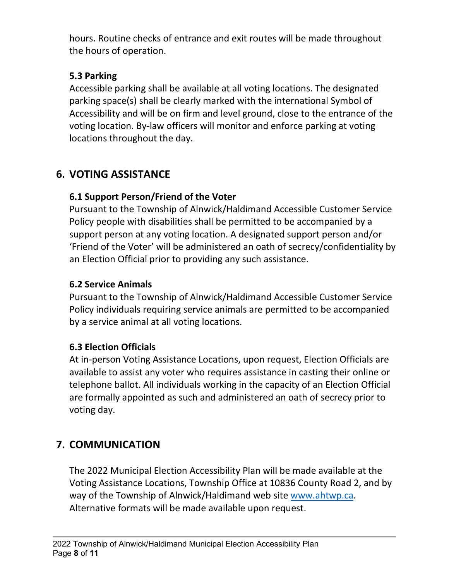hours. Routine checks of entrance and exit routes will be made throughout the hours of operation.

#### **5.3 Parking**

Accessible parking shall be available at all voting locations. The designated parking space(s) shall be clearly marked with the international Symbol of Accessibility and will be on firm and level ground, close to the entrance of the voting location. By-law officers will monitor and enforce parking at voting locations throughout the day.

## <span id="page-7-0"></span>**6. VOTING ASSISTANCE**

## **6.1 Support Person/Friend of the Voter**

Pursuant to the Township of Alnwick/Haldimand Accessible Customer Service Policy people with disabilities shall be permitted to be accompanied by a support person at any voting location. A designated support person and/or 'Friend of the Voter' will be administered an oath of secrecy/confidentiality by an Election Official prior to providing any such assistance.

#### **6.2 Service Animals**

Pursuant to the Township of Alnwick/Haldimand Accessible Customer Service Policy individuals requiring service animals are permitted to be accompanied by a service animal at all voting locations.

## **6.3 Election Officials**

At in-person Voting Assistance Locations, upon request, Election Officials are available to assist any voter who requires assistance in casting their online or telephone ballot. All individuals working in the capacity of an Election Official are formally appointed as such and administered an oath of secrecy prior to voting day.

# <span id="page-7-1"></span>**7. COMMUNICATION**

The 2022 Municipal Election Accessibility Plan will be made available at the Voting Assistance Locations, Township Office at 10836 County Road 2, and by way of the Township of Alnwick/Haldimand web site [www.ahtwp.ca.](http://www.ahtwp.ca/) Alternative formats will be made available upon request.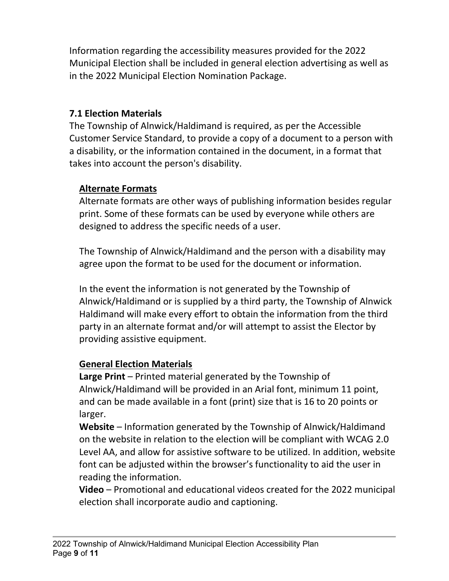Information regarding the accessibility measures provided for the 2022 Municipal Election shall be included in general election advertising as well as in the 2022 Municipal Election Nomination Package.

#### **7.1 Election Materials**

The Township of Alnwick/Haldimand is required, as per the Accessible Customer Service Standard, to provide a copy of a document to a person with a disability, or the information contained in the document, in a format that takes into account the person's disability.

#### **Alternate Formats**

Alternate formats are other ways of publishing information besides regular print. Some of these formats can be used by everyone while others are designed to address the specific needs of a user.

The Township of Alnwick/Haldimand and the person with a disability may agree upon the format to be used for the document or information.

In the event the information is not generated by the Township of Alnwick/Haldimand or is supplied by a third party, the Township of Alnwick Haldimand will make every effort to obtain the information from the third party in an alternate format and/or will attempt to assist the Elector by providing assistive equipment.

#### **General Election Materials**

**Large Print** – Printed material generated by the Township of Alnwick/Haldimand will be provided in an Arial font, minimum 11 point, and can be made available in a font (print) size that is 16 to 20 points or larger.

**Website** – Information generated by the Township of Alnwick/Haldimand on the website in relation to the election will be compliant with WCAG 2.0 Level AA, and allow for assistive software to be utilized. In addition, website font can be adjusted within the browser's functionality to aid the user in reading the information.

**Video** – Promotional and educational videos created for the 2022 municipal election shall incorporate audio and captioning.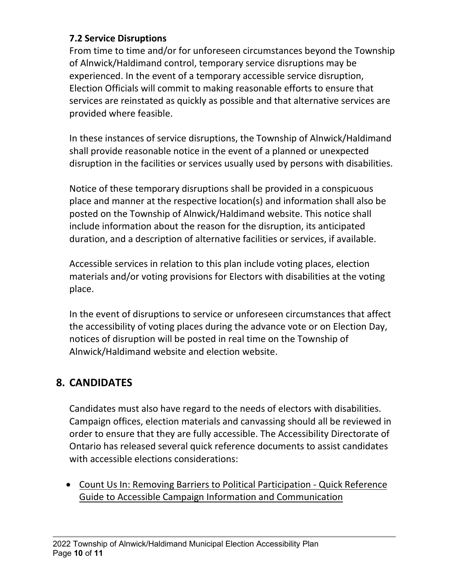#### **7.2 Service Disruptions**

From time to time and/or for unforeseen circumstances beyond the Township of Alnwick/Haldimand control, temporary service disruptions may be experienced. In the event of a temporary accessible service disruption, Election Officials will commit to making reasonable efforts to ensure that services are reinstated as quickly as possible and that alternative services are provided where feasible.

In these instances of service disruptions, the Township of Alnwick/Haldimand shall provide reasonable notice in the event of a planned or unexpected disruption in the facilities or services usually used by persons with disabilities.

Notice of these temporary disruptions shall be provided in a conspicuous place and manner at the respective location(s) and information shall also be posted on the Township of Alnwick/Haldimand website. This notice shall include information about the reason for the disruption, its anticipated duration, and a description of alternative facilities or services, if available.

Accessible services in relation to this plan include voting places, election materials and/or voting provisions for Electors with disabilities at the voting place.

In the event of disruptions to service or unforeseen circumstances that affect the accessibility of voting places during the advance vote or on Election Day, notices of disruption will be posted in real time on the Township of Alnwick/Haldimand website and election website.

## <span id="page-9-0"></span>**8. CANDIDATES**

Candidates must also have regard to the needs of electors with disabilities. Campaign offices, election materials and canvassing should all be reviewed in order to ensure that they are fully accessible. The Accessibility Directorate of Ontario has released several quick reference documents to assist candidates with accessible elections considerations:

• [Count Us In: Removing Barriers to Political Participation -](https://www.mcss.gov.on.ca/documents/en/mcss/publications/accessibility/Quickreferenceguidetoaccessiblecampaigninformation.pdf) Quick Reference [Guide to Accessible Campaign Information and Communication](https://www.mcss.gov.on.ca/documents/en/mcss/publications/accessibility/Quickreferenceguidetoaccessiblecampaigninformation.pdf)